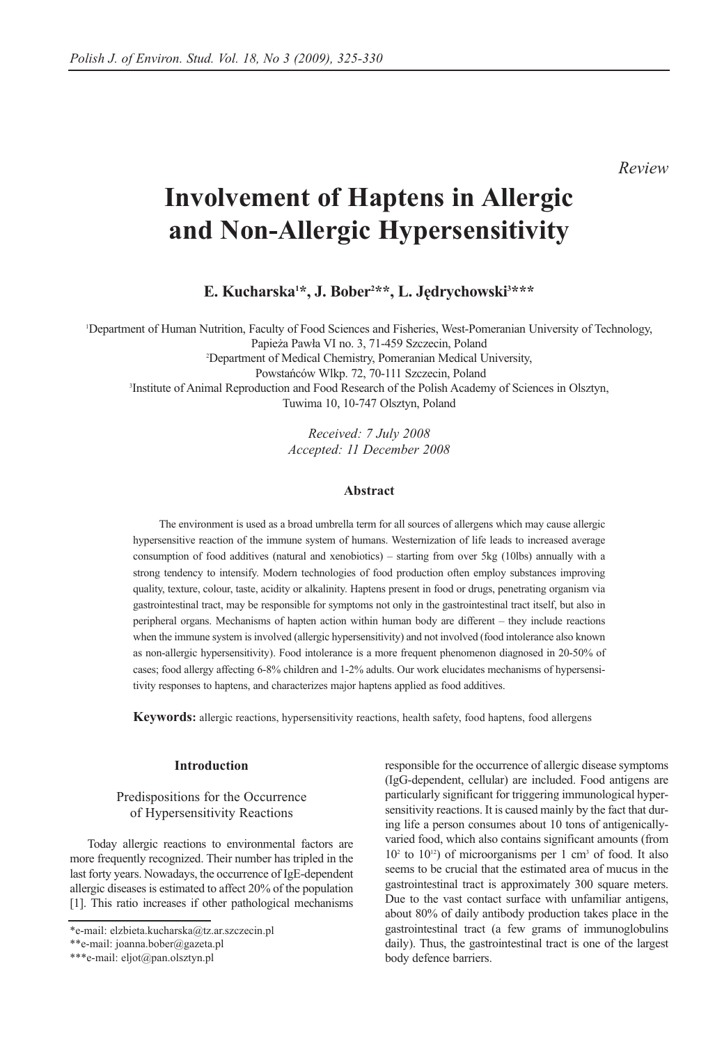## *Review*

# **Involvement of Haptens in Allergic and Non-Allergic Hypersensitivity**

**E. Kucharska1 \*, J. Bober2 \*\*, L. Jędrychowski3 \*\*\***

1 Department of Human Nutrition, Faculty of Food Sciences and Fisheries, West-Pomeranian University of Technology, Papieża Pawła VI no. 3, 71-459 Szczecin, Poland 2 Department of Medical Chemistry, Pomeranian Medical University, Powstańców Wlkp. 72, 70-111 Szczecin, Poland<br>
<sup>3</sup>Institute of Animal Reproduction and Food Research of the Polish Academy of Sciences in Olsztyn, Tuwima 10, 10-747 Olsztyn, Poland

> *Received: 7 July 2008 Accepted: 11 December 2008*

#### **Abstract**

The environment is used as a broad umbrella term for all sources of allergens which may cause allergic hypersensitive reaction of the immune system of humans. Westernization of life leads to increased average consumption of food additives (natural and xenobiotics) – starting from over 5kg (10lbs) annually with a strong tendency to intensify. Modern technologies of food production often employ substances improving quality, texture, colour, taste, acidity or alkalinity. Haptens present in food or drugs, penetrating organism via gastrointestinal tract, may be responsible for symptoms not only in the gastrointestinal tract itself, but also in peripheral organs. Mechanisms of hapten action within human body are different – they include reactions when the immune system is involved (allergic hypersensitivity) and not involved (food intolerance also known as non-allergic hypersensitivity). Food intolerance is a more frequent phenomenon diagnosed in 20-50% of cases; food allergy affecting 6-8% children and 1-2% adults. Our work elucidates mechanisms of hypersensitivity responses to haptens, and characterizes major haptens applied as food additives.

**Keywords:** allergic reactions, hypersensitivity reactions, health safety, food haptens, food allergens

#### **Introduction**

### Predispositions for the Occurrence of Hypersensitivity Reactions

Today allergic reactions to environmental factors are more frequently recognized. Their number has tripled in the last forty years. Nowadays, the occurrence of IgE-dependent allergic diseases is estimated to affect 20% of the population [1]. This ratio increases if other pathological mechanisms responsible for the occurrence of allergic disease symptoms (IgG-dependent, cellular) are included. Food antigens are particularly significant for triggering immunological hypersensitivity reactions. It is caused mainly by the fact that during life a person consumes about 10 tons of antigenicallyvaried food, which also contains significant amounts (from  $10<sup>2</sup>$  to  $10<sup>12</sup>$ ) of microorganisms per 1 cm<sup>3</sup> of food. It also seems to be crucial that the estimated area of mucus in the gastrointestinal tract is approximately 300 square meters. Due to the vast contact surface with unfamiliar antigens, about 80% of daily antibody production takes place in the gastrointestinal tract (a few grams of immunoglobulins daily). Thus, the gastrointestinal tract is one of the largest body defence barriers.

<sup>\*</sup>e-mail: elzbieta.kucharska@tz.ar.szczecin.pl

<sup>\*\*</sup>e-mail: joanna.bober@gazeta.pl

<sup>\*\*\*</sup>e-mail: eljot@pan.olsztyn.pl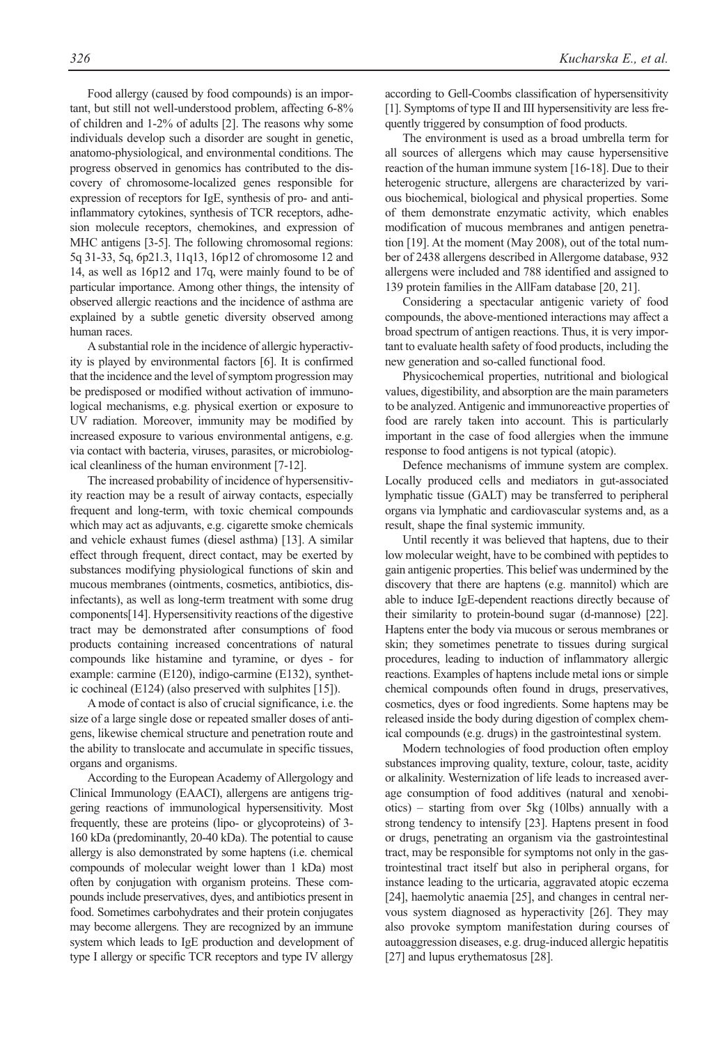Food allergy (caused by food compounds) is an important, but still not well-understood problem, affecting 6-8% of children and 1-2% of adults [2]. The reasons why some individuals develop such a disorder are sought in genetic, anatomo-physiological, and environmental conditions. The progress observed in genomics has contributed to the discovery of chromosome-localized genes responsible for expression of receptors for IgE, synthesis of pro- and antiinflammatory cytokines, synthesis of TCR receptors, adhesion molecule receptors, chemokines, and expression of MHC antigens [3-5]. The following chromosomal regions: 5q 31-33, 5q, 6p21.3, 11q13, 16p12 of chromosome 12 and 14, as well as 16p12 and 17q, were mainly found to be of particular importance. Among other things, the intensity of observed allergic reactions and the incidence of asthma are explained by a subtle genetic diversity observed among human races.

A substantial role in the incidence of allergic hyperactivity is played by environmental factors [6]. It is confirmed that the incidence and the level of symptom progression may be predisposed or modified without activation of immunological mechanisms, e.g. physical exertion or exposure to UV radiation. Moreover, immunity may be modified by increased exposure to various environmental antigens, e.g. via contact with bacteria, viruses, parasites, or microbiological cleanliness of the human environment [7-12].

The increased probability of incidence of hypersensitivity reaction may be a result of airway contacts, especially frequent and long-term, with toxic chemical compounds which may act as adjuvants, e.g. cigarette smoke chemicals and vehicle exhaust fumes (diesel asthma) [13]. A similar effect through frequent, direct contact, may be exerted by substances modifying physiological functions of skin and mucous membranes (ointments, cosmetics, antibiotics, disinfectants), as well as long-term treatment with some drug components[14]. Hypersensitivity reactions of the digestive tract may be demonstrated after consumptions of food products containing increased concentrations of natural compounds like histamine and tyramine, or dyes - for example: carmine (E120), indigo-carmine (E132), synthetic cochineal (E124) (also preserved with sulphites [15]).

A mode of contact is also of crucial significance, i.e. the size of a large single dose or repeated smaller doses of antigens, likewise chemical structure and penetration route and the ability to translocate and accumulate in specific tissues, organs and organisms.

According to the European Academy of Allergology and Clinical Immunology (EAACI), allergens are antigens triggering reactions of immunological hypersensitivity. Most frequently, these are proteins (lipo- or glycoproteins) of 3- 160 kDa (predominantly, 20-40 kDa). The potential to cause allergy is also demonstrated by some haptens (i.e. chemical compounds of molecular weight lower than 1 kDa) most often by conjugation with organism proteins. These compounds include preservatives, dyes, and antibiotics present in food. Sometimes carbohydrates and their protein conjugates may become allergens. They are recognized by an immune system which leads to IgE production and development of type I allergy or specific TCR receptors and type IV allergy according to Gell-Coombs classification of hypersensitivity [1]. Symptoms of type II and III hypersensitivity are less frequently triggered by consumption of food products.

The environment is used as a broad umbrella term for all sources of allergens which may cause hypersensitive reaction of the human immune system [16-18]. Due to their heterogenic structure, allergens are characterized by various biochemical, biological and physical properties. Some of them demonstrate enzymatic activity, which enables modification of mucous membranes and antigen penetration [19]. At the moment (May 2008), out of the total number of 2438 allergens described in Allergome database, 932 allergens were included and 788 identified and assigned to 139 protein families in the AllFam database [20, 21].

Considering a spectacular antigenic variety of food compounds, the above-mentioned interactions may affect a broad spectrum of antigen reactions. Thus, it is very important to evaluate health safety of food products, including the new generation and so-called functional food.

Physicochemical properties, nutritional and biological values, digestibility, and absorption are the main parameters to be analyzed. Antigenic and immunoreactive properties of food are rarely taken into account. This is particularly important in the case of food allergies when the immune response to food antigens is not typical (atopic).

Defence mechanisms of immune system are complex. Locally produced cells and mediators in gut-associated lymphatic tissue (GALT) may be transferred to peripheral organs via lymphatic and cardiovascular systems and, as a result, shape the final systemic immunity.

Until recently it was believed that haptens, due to their low molecular weight, have to be combined with peptides to gain antigenic properties. This belief was undermined by the discovery that there are haptens (e.g. mannitol) which are able to induce IgE-dependent reactions directly because of their similarity to protein-bound sugar (d-mannose) [22]. Haptens enter the body via mucous or serous membranes or skin; they sometimes penetrate to tissues during surgical procedures, leading to induction of inflammatory allergic reactions. Examples of haptens include metal ions or simple chemical compounds often found in drugs, preservatives, cosmetics, dyes or food ingredients. Some haptens may be released inside the body during digestion of complex chemical compounds (e.g. drugs) in the gastrointestinal system.

Modern technologies of food production often employ substances improving quality, texture, colour, taste, acidity or alkalinity. Westernization of life leads to increased average consumption of food additives (natural and xenobiotics) – starting from over 5kg (10lbs) annually with a strong tendency to intensify [23]. Haptens present in food or drugs, penetrating an organism via the gastrointestinal tract, may be responsible for symptoms not only in the gastrointestinal tract itself but also in peripheral organs, for instance leading to the urticaria, aggravated atopic eczema [24], haemolytic anaemia [25], and changes in central nervous system diagnosed as hyperactivity [26]. They may also provoke symptom manifestation during courses of autoaggression diseases, e.g. drug-induced allergic hepatitis [27] and lupus erythematosus [28].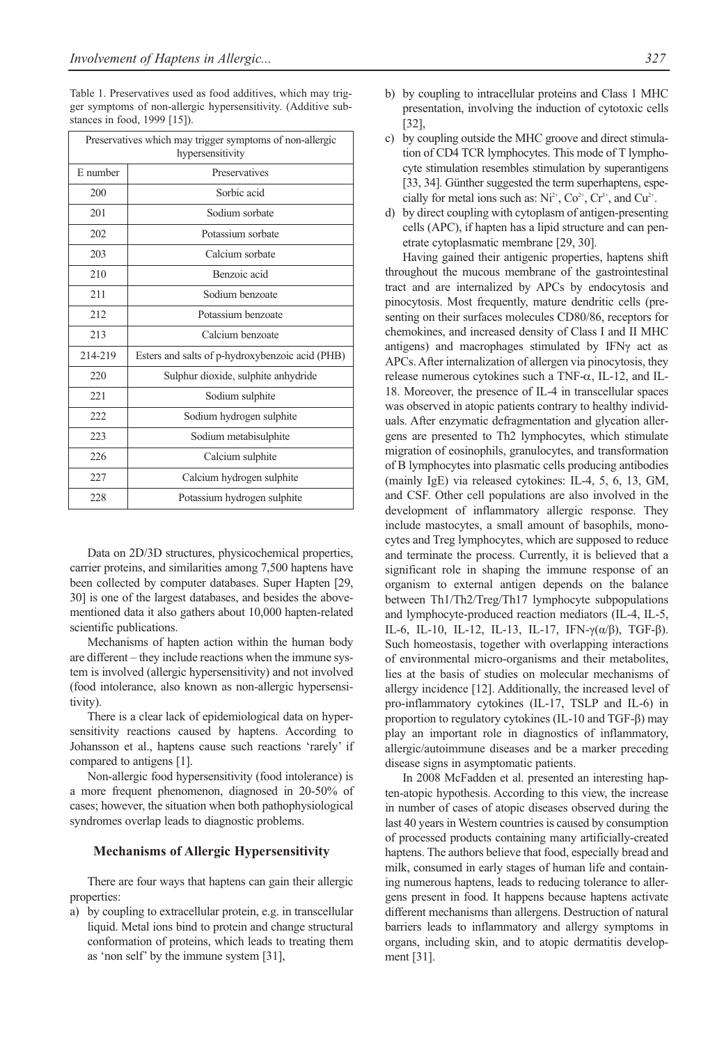Table 1. Preservatives used as food additives, which may trigger symptoms of non-allergic hypersensitivity. (Additive substances in food, 1999 [15]).

| Preservatives which may trigger symptoms of non-allergic<br>hypersensitivity |                                                 |  |  |
|------------------------------------------------------------------------------|-------------------------------------------------|--|--|
| E number                                                                     | Preservatives                                   |  |  |
| 200                                                                          | Sorbic acid                                     |  |  |
| 201                                                                          | Sodium sorbate                                  |  |  |
| 202                                                                          | Potassium sorbate                               |  |  |
| 203                                                                          | Calcium sorbate                                 |  |  |
| 210                                                                          | Benzoic acid                                    |  |  |
| 211                                                                          | Sodium benzoate                                 |  |  |
| 212                                                                          | Potassium benzoate                              |  |  |
| 213                                                                          | Calcium benzoate                                |  |  |
| 214-219                                                                      | Esters and salts of p-hydroxybenzoic acid (PHB) |  |  |
| 220                                                                          | Sulphur dioxide, sulphite anhydride             |  |  |
| 221                                                                          | Sodium sulphite                                 |  |  |
| 222.                                                                         | Sodium hydrogen sulphite                        |  |  |
| 223                                                                          | Sodium metabisulphite                           |  |  |
| 226                                                                          | Calcium sulphite                                |  |  |
| 227                                                                          | Calcium hydrogen sulphite                       |  |  |
| 228                                                                          | Potassium hydrogen sulphite                     |  |  |

Data on 2D/3D structures, physicochemical properties, carrier proteins, and similarities among 7,500 haptens have been collected by computer databases. Super Hapten [29, 30] is one of the largest databases, and besides the abovementioned data it also gathers about 10,000 hapten-related scientific publications.

Mechanisms of hapten action within the human body are different – they include reactions when the immune system is involved (allergic hypersensitivity) and not involved (food intolerance, also known as non-allergic hypersensitivity).

There is a clear lack of epidemiological data on hypersensitivity reactions caused by haptens. According to Johansson et al., haptens cause such reactions 'rarely' if compared to antigens [1].

Non-allergic food hypersensitivity (food intolerance) is a more frequent phenomenon, diagnosed in 20-50% of cases; however, the situation when both pathophysiological syndromes overlap leads to diagnostic problems.

#### **Mechanisms of Allergic Hypersensitivity**

There are four ways that haptens can gain their allergic properties:

a) by coupling to extracellular protein, e.g. in transcellular liquid. Metal ions bind to protein and change structural conformation of proteins, which leads to treating them as 'non self' by the immune system [31],

- b) by coupling to intracellular proteins and Class 1 MHC presentation, involving the induction of cytotoxic cells [32],
- c) by coupling outside the MHC groove and direct stimulation of CD4 TCR lymphocytes. This mode of T lymphocyte stimulation resembles stimulation by superantigens [33, 34]. Günther suggested the term superhaptens, especially for metal ions such as:  $Ni^{2+}$ ,  $Co^{2+}$ ,  $Cr^{3+}$ , and  $Cu^{2+}$ .
- d) by direct coupling with cytoplasm of antigen-presenting cells (APC), if hapten has a lipid structure and can penetrate cytoplasmatic membrane [29, 30].

Having gained their antigenic properties, haptens shift throughout the mucous membrane of the gastrointestinal tract and are internalized by APCs by endocytosis and pinocytosis. Most frequently, mature dendritic cells (presenting on their surfaces molecules CD80/86, receptors for chemokines, and increased density of Class I and II MHC antigens) and macrophages stimulated by IFNγ act as APCs. After internalization of allergen via pinocytosis, they release numerous cytokines such a TNF-α, IL-12, and IL-18. Moreover, the presence of IL-4 in transcellular spaces was observed in atopic patients contrary to healthy individuals. After enzymatic defragmentation and glycation allergens are presented to Th2 lymphocytes, which stimulate migration of eosinophils, granulocytes, and transformation of B lymphocytes into plasmatic cells producing antibodies (mainly IgE) via released cytokines: IL-4, 5, 6, 13, GM, and CSF. Other cell populations are also involved in the development of inflammatory allergic response. They include mastocytes, a small amount of basophils, monocytes and Treg lymphocytes, which are supposed to reduce and terminate the process. Currently, it is believed that a significant role in shaping the immune response of an organism to external antigen depends on the balance between Th1/Th2/Treg/Th17 lymphocyte subpopulations and lymphocyte-produced reaction mediators (IL-4, IL-5, IL-6, IL-10, IL-12, IL-13, IL-17, IFN- $\gamma(\alpha/\beta)$ , TGF- $\beta$ ). Such homeostasis, together with overlapping interactions of environmental micro-organisms and their metabolites, lies at the basis of studies on molecular mechanisms of allergy incidence [12]. Additionally, the increased level of pro-inflammatory cytokines (IL-17, TSLP and IL-6) in proportion to regulatory cytokines (IL-10 and TGF-β) may play an important role in diagnostics of inflammatory, allergic/autoimmune diseases and be a marker preceding disease signs in asymptomatic patients.

In 2008 McFadden et al. presented an interesting hapten-atopic hypothesis. According to this view, the increase in number of cases of atopic diseases observed during the last 40 years in Western countries is caused by consumption of processed products containing many artificially-created haptens. The authors believe that food, especially bread and milk, consumed in early stages of human life and containing numerous haptens, leads to reducing tolerance to allergens present in food. It happens because haptens activate different mechanisms than allergens. Destruction of natural barriers leads to inflammatory and allergy symptoms in organs, including skin, and to atopic dermatitis development [31].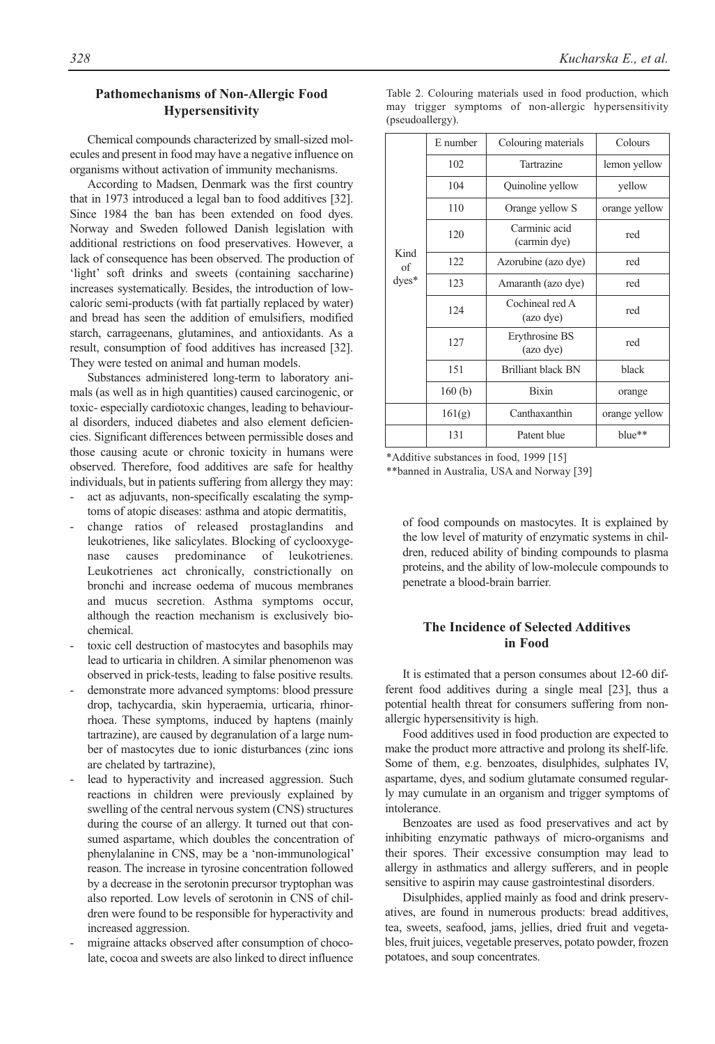## **Pathomechanisms of Non-Allergic Food Hypersensitivity**

Chemical compounds characterized by small-sized molecules and present in food may have a negative influence on organisms without activation of immunity mechanisms.

According to Madsen, Denmark was the first country that in 1973 introduced a legal ban to food additives [32]. Since 1984 the ban has been extended on food dyes. Norway and Sweden followed Danish legislation with additional restrictions on food preservatives. However, a lack of consequence has been observed. The production of 'light' soft drinks and sweets (containing saccharine) increases systematically. Besides, the introduction of lowcaloric semi-products (with fat partially replaced by water) and bread has seen the addition of emulsifiers, modified starch, carrageenans, glutamines, and antioxidants. As a result, consumption of food additives has increased [32]. They were tested on animal and human models.

Substances administered long-term to laboratory animals (as well as in high quantities) caused carcinogenic, or toxic- especially cardiotoxic changes, leading to behavioural disorders, induced diabetes and also element deficiencies. Significant differences between permissible doses and those causing acute or chronic toxicity in humans were observed. Therefore, food additives are safe for healthy individuals, but in patients suffering from allergy they may:

- act as adjuvants, non-specifically escalating the symptoms of atopic diseases: asthma and atopic dermatitis,
- change ratios of released prostaglandins and leukotrienes, like salicylates. Blocking of cyclooxygenase causes predominance of leukotrienes. Leukotrienes act chronically, constrictionally on bronchi and increase oedema of mucous membranes and mucus secretion. Asthma symptoms occur, although the reaction mechanism is exclusively biochemical.
- toxic cell destruction of mastocytes and basophils may lead to urticaria in children. A similar phenomenon was observed in prick-tests, leading to false positive results.
- demonstrate more advanced symptoms: blood pressure drop, tachycardia, skin hyperaemia, urticaria, rhinorrhoea. These symptoms, induced by haptens (mainly tartrazine), are caused by degranulation of a large number of mastocytes due to ionic disturbances (zinc ions are chelated by tartrazine),
- lead to hyperactivity and increased aggression. Such reactions in children were previously explained by swelling of the central nervous system (CNS) structures during the course of an allergy. It turned out that consumed aspartame, which doubles the concentration of phenylalanine in CNS, may be a 'non-immunological' reason. The increase in tyrosine concentration followed by a decrease in the serotonin precursor tryptophan was also reported. Low levels of serotonin in CNS of children were found to be responsible for hyperactivity and increased aggression.
- migraine attacks observed after consumption of chocolate, cocoa and sweets are also linked to direct influence

Table 2. Colouring materials used in food production, which may trigger symptoms of non-allergic hypersensitivity (pseudoallergy).

| Kind<br>of<br>$dyes*$ | E number | Colouring materials           | Colours       |
|-----------------------|----------|-------------------------------|---------------|
|                       | 102      | Tartrazine                    | lemon yellow  |
|                       | 104      | Quinoline yellow              | yellow        |
|                       | 110      | Orange yellow S               | orange yellow |
|                       | 120      | Carminic acid<br>(carmin dye) | red           |
|                       | 122      | Azorubine (azo dye)           | red           |
|                       | 123      | Amaranth (azo dye)            | red           |
|                       | 124      | Cochineal red A<br>(azo dye)  | red           |
|                       | 127      | Erythrosine BS<br>(azo dye)   | red           |
|                       | 151      | <b>Brilliant black BN</b>     | black         |
|                       | 160(b)   | <b>Bixin</b>                  | orange        |
|                       | 161(g)   | Canthaxanthin                 | orange yellow |
|                       | 131      | Patent blue                   | blue**        |
|                       |          |                               |               |

\*Additive substances in food, 1999 [15]

\*\*banned in Australia, USA and Norway [39]

of food compounds on mastocytes. It is explained by the low level of maturity of enzymatic systems in children, reduced ability of binding compounds to plasma proteins, and the ability of low-molecule compounds to penetrate a blood-brain barrier.

## **The Incidence of Selected Additives in Food**

It is estimated that a person consumes about 12-60 different food additives during a single meal [23], thus a potential health threat for consumers suffering from nonallergic hypersensitivity is high.

Food additives used in food production are expected to make the product more attractive and prolong its shelf-life. Some of them, e.g. benzoates, disulphides, sulphates IV, aspartame, dyes, and sodium glutamate consumed regularly may cumulate in an organism and trigger symptoms of intolerance.

Benzoates are used as food preservatives and act by inhibiting enzymatic pathways of micro-organisms and their spores. Their excessive consumption may lead to allergy in asthmatics and allergy sufferers, and in people sensitive to aspirin may cause gastrointestinal disorders.

Disulphides, applied mainly as food and drink preservatives, are found in numerous products: bread additives, tea, sweets, seafood, jams, jellies, dried fruit and vegetables, fruit juices, vegetable preserves, potato powder, frozen potatoes, and soup concentrates.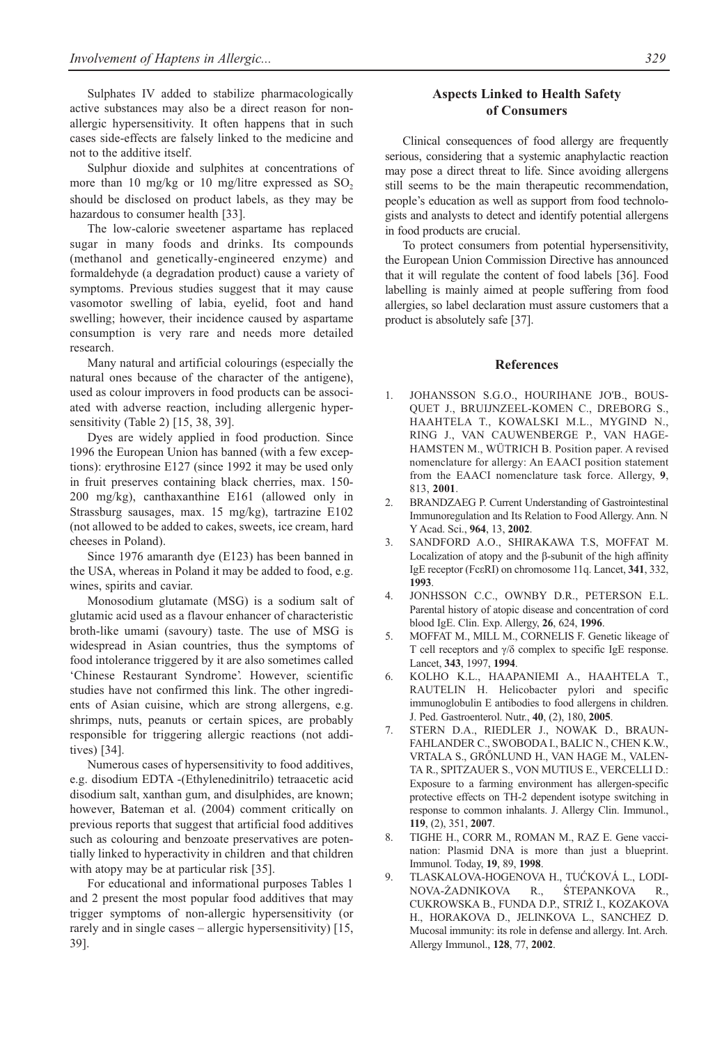Sulphates IV added to stabilize pharmacologically active substances may also be a direct reason for nonallergic hypersensitivity. It often happens that in such cases side-effects are falsely linked to the medicine and not to the additive itself.

Sulphur dioxide and sulphites at concentrations of more than 10 mg/kg or 10 mg/litre expressed as  $SO_2$ should be disclosed on product labels, as they may be hazardous to consumer health [33].

The low-calorie sweetener aspartame has replaced sugar in many foods and drinks. Its compounds (methanol and genetically-engineered enzyme) and formaldehyde (a degradation product) cause a variety of symptoms. Previous studies suggest that it may cause vasomotor swelling of labia, eyelid, foot and hand swelling; however, their incidence caused by aspartame consumption is very rare and needs more detailed research.

Many natural and artificial colourings (especially the natural ones because of the character of the antigene), used as colour improvers in food products can be associated with adverse reaction, including allergenic hypersensitivity (Table 2) [15, 38, 39].

Dyes are widely applied in food production. Since 1996 the European Union has banned (with a few exceptions): erythrosine E127 (since 1992 it may be used only in fruit preserves containing black cherries, max. 150- 200 mg/kg), canthaxanthine E161 (allowed only in Strassburg sausages, max. 15 mg/kg), tartrazine E102 (not allowed to be added to cakes, sweets, ice cream, hard cheeses in Poland).

Since 1976 amaranth dye (E123) has been banned in the USA, whereas in Poland it may be added to food, e.g. wines, spirits and caviar.

Monosodium glutamate (MSG) is a sodium salt of glutamic acid used as a flavour enhancer of characteristic broth-like umami (savoury) taste. The use of MSG is widespread in Asian countries, thus the symptoms of food intolerance triggered by it are also sometimes called 'Chinese Restaurant Syndrome'. However, scientific studies have not confirmed this link. The other ingredients of Asian cuisine, which are strong allergens, e.g. shrimps, nuts, peanuts or certain spices, are probably responsible for triggering allergic reactions (not additives) [34].

Numerous cases of hypersensitivity to food additives, e.g. disodium EDTA -(Ethylenedinitrilo) tetraacetic acid disodium salt, xanthan gum, and disulphides, are known; however, Bateman et al. (2004) comment critically on previous reports that suggest that artificial food additives such as colouring and benzoate preservatives are potentially linked to hyperactivity in children and that children with atopy may be at particular risk [35].

For educational and informational purposes Tables 1 and 2 present the most popular food additives that may trigger symptoms of non-allergic hypersensitivity (or rarely and in single cases – allergic hypersensitivity) [15, 39].

## **Aspects Linked to Health Safety of Consumers**

Clinical consequences of food allergy are frequently serious, considering that a systemic anaphylactic reaction may pose a direct threat to life. Since avoiding allergens still seems to be the main therapeutic recommendation, people's education as well as support from food technologists and analysts to detect and identify potential allergens in food products are crucial.

To protect consumers from potential hypersensitivity, the European Union Commission Directive has announced that it will regulate the content of food labels [36]. Food labelling is mainly aimed at people suffering from food allergies, so label declaration must assure customers that a product is absolutely safe [37].

#### **References**

- 1. JOHANSSON S.G.O., HOURIHANE JO'B., BOUS-QUET J., BRUIJNZEEL-KOMEN C., DREBORG S., HAAHTELA T., KOWALSKI M.L., MYGIND N., RING J., VAN CAUWENBERGE P., VAN HAGE-HAMSTEN M., WÜTRICH B. Position paper. A revised nomenclature for allergy: An EAACI position statement from the EAACI nomenclature task force. Allergy, **9**, 813, **2001**.
- 2. BRANDZAEG P. Current Understanding of Gastrointestinal Immunoregulation and Its Relation to Food Allergy. Ann. N Y Acad. Sci., **964**, 13, **2002**.
- 3. SANDFORD A.O., SHIRAKAWA T.S, MOFFAT M. Localization of atopy and the β-subunit of the high affinity IgE receptor (FcεRI) on chromosome 11q. Lancet, **341**, 332, **1993**.
- 4. JONHSSON C.C., OWNBY D.R., PETERSON E.L. Parental history of atopic disease and concentration of cord blood IgE. Clin. Exp. Allergy, **26**, 624, **1996**.
- 5. MOFFAT M., MILL M., CORNELIS F. Genetic likeage of T cell receptors and γ/δ complex to specific IgE response. Lancet, **343**, 1997, **1994**.
- 6. KOLHO K.L., HAAPANIEMI A., HAAHTELA T., RAUTELIN H. Helicobacter pylori and specific immunoglobulin E antibodies to food allergens in children. J. Ped. Gastroenterol. Nutr., **40**, (2), 180, **2005**.
- STERN D.A., RIEDLER J., NOWAK D., BRAUN-FAHLANDER C., SWOBODA I., BALIC N., CHEN K.W., VRTALA S., GRŐNLUND H., VAN HAGE M., VALEN-TA R., SPITZAUER S., VON MUTIUS E., VERCELLI D.: Exposure to a farming environment has allergen-specific protective effects on TH-2 dependent isotype switching in response to common inhalants. J. Allergy Clin. Immunol., **119**, (2), 351, **2007**.
- 8. TIGHE H., CORR M., ROMAN M., RAZ E. Gene vaccination: Plasmid DNA is more than just a blueprint. Immunol. Today, **19**, 89, **1998**.
- 9. TLASKALOVA-HOGENOVA H., TUĆKOVÁ L., LODI-NOVA-ŻADNIKOVA R., ŚTEPANKOVA R., CUKROWSKA B., FUNDA D.P., STRIŻ I., KOZAKOVA H., HORAKOVA D., JELINKOVA L., SANCHEZ D. Mucosal immunity: its role in defense and allergy. Int. Arch. Allergy Immunol., **128**, 77, **2002**.